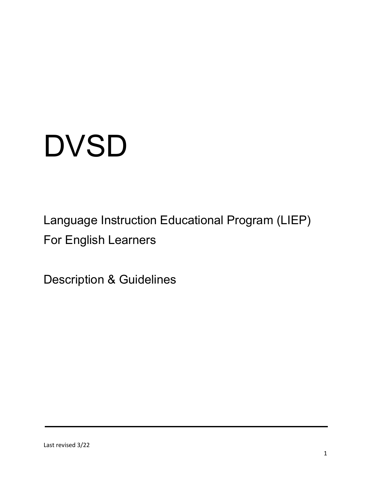# **DVSD**

Language Instruction Educational Program (LIEP) For English Learners

Description & Guidelines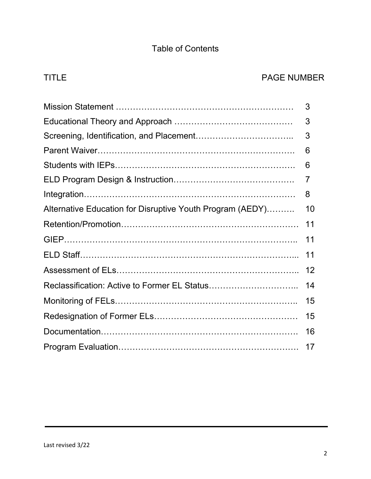# Table of Contents

# TITLE PAGE NUMBER

|                                                           | 3  |
|-----------------------------------------------------------|----|
|                                                           | 3  |
|                                                           | 3  |
|                                                           | 6  |
|                                                           | 6  |
|                                                           | 7  |
|                                                           | 8  |
| Alternative Education for Disruptive Youth Program (AEDY) | 10 |
|                                                           | 11 |
|                                                           | 11 |
|                                                           | 11 |
|                                                           | 12 |
|                                                           | 14 |
|                                                           | 15 |
|                                                           | 15 |
|                                                           | 16 |
|                                                           | 17 |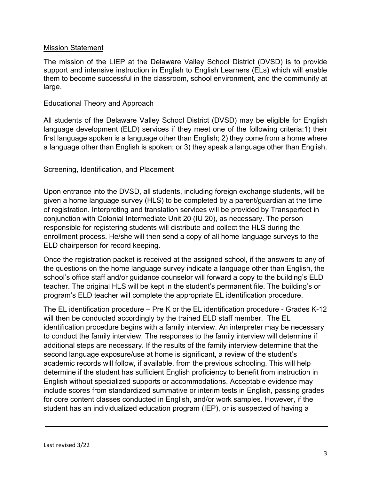#### Mission Statement

The mission of the LIEP at the Delaware Valley School District (DVSD) is to provide support and intensive instruction in English to English Learners (ELs) which will enable them to become successful in the classroom, school environment, and the community at large.

#### Educational Theory and Approach

All students of the Delaware Valley School District (DVSD) may be eligible for English language development (ELD) services if they meet one of the following criteria:1) their first language spoken is a language other than English; 2) they come from a home where a language other than English is spoken; or 3) they speak a language other than English.

#### **Screening, Identification, and Placement**

Upon entrance into the DVSD, all students, including foreign exchange students, will be given a home language survey (HLS) to be completed by a parent/guardian at the time of registration. Interpreting and translation services will be provided by Transperfect in conjunction with Colonial Intermediate Unit 20 (IU 20), as necessary. The person responsible for registering students will distribute and collect the HLS during the enrollment process. He/she will then send a copy of all home language surveys to the ELD chairperson for record keeping.

Once the registration packet is received at the assigned school, if the answers to any of the questions on the home language survey indicate a language other than English, the school's office staff and/or guidance counselor will forward a copy to the building's ELD teacher. The original HLS will be kept in the student's permanent file. The building's or program's ELD teacher will complete the appropriate EL identification procedure.

The EL identification procedure – Pre K or the EL identification procedure - Grades K-12 will then be conducted accordingly by the trained ELD staff member. The EL identification procedure begins with a family interview. An interpreter may be necessary to conduct the family interview. The responses to the family interview will determine if additional steps are necessary. If the results of the family interview determine that the second language exposure/use at home is significant, a review of the student's academic records will follow, if available, from the previous schooling. This will help determine if the student has sufficient English proficiency to benefit from instruction in English without specialized supports or accommodations. Acceptable evidence may include scores from standardized summative or interim tests in English, passing grades for core content classes conducted in English, and/or work samples. However, if the student has an individualized education program (IEP), or is suspected of having a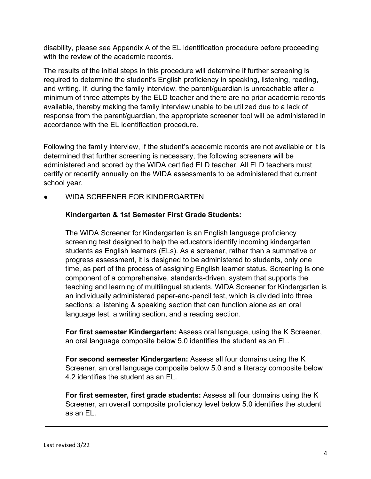disability, please see Appendix A of the EL identification procedure before proceeding with the review of the academic records.

The results of the initial steps in this procedure will determine if further screening is required to determine the student's English proficiency in speaking, listening, reading, and writing. If, during the family interview, the parent/guardian is unreachable after a minimum of three attempts by the ELD teacher and there are no prior academic records available, thereby making the family interview unable to be utilized due to a lack of response from the parent/guardian, the appropriate screener tool will be administered in accordance with the EL identification procedure.

Following the family interview, if the student's academic records are not available or it is determined that further screening is necessary, the following screeners will be administered and scored by the WIDA certified ELD teacher. All ELD teachers must certify or recertify annually on the WIDA assessments to be administered that current school year.

WIDA SCREENER FOR KINDERGARTEN

# **Kindergarten & 1st Semester First Grade Students:**

The WIDA Screener for Kindergarten is an English language proficiency screening test designed to help the educators identify incoming kindergarten students as English learners (ELs). As a screener, rather than a summative or progress assessment, it is designed to be administered to students, only one time, as part of the process of assigning English learner status. Screening is one component of a comprehensive, standards-driven, system that supports the teaching and learning of multilingual students. WIDA Screener for Kindergarten is an individually administered paper-and-pencil test, which is divided into three sections: a listening & speaking section that can function alone as an oral language test, a writing section, and a reading section.

**For first semester Kindergarten:** Assess oral language, using the K Screener, an oral language composite below 5.0 identifies the student as an EL.

**For second semester Kindergarten:** Assess all four domains using the K Screener, an oral language composite below 5.0 and a literacy composite below 4.2 identifies the student as an EL.

**For first semester, first grade students:** Assess all four domains using the K Screener, an overall composite proficiency level below 5.0 identifies the student as an EL.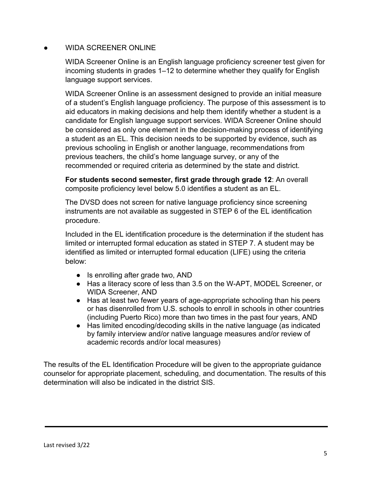# WIDA SCREENER ONLINE

WIDA Screener Online is an English language proficiency screener test given for incoming students in grades 1–12 to determine whether they qualify for English language support services.

WIDA Screener Online is an assessment designed to provide an initial measure of a student's English language proficiency. The purpose of this assessment is to aid educators in making decisions and help them identify whether a student is a candidate for English language support services. WIDA Screener Online should be considered as only one element in the decision-making process of identifying a student as an EL. This decision needs to be supported by evidence, such as previous schooling in English or another language, recommendations from previous teachers, the child's home language survey, or any of the recommended or required criteria as determined by the state and district.

**For students second semester, first grade through grade 12**: An overall composite proficiency level below 5.0 identifies a student as an EL.

The DVSD does not screen for native language proficiency since screening instruments are not available as suggested in STEP 6 of the EL identification procedure.

Included in the EL identification procedure is the determination if the student has limited or interrupted formal education as stated in STEP 7. A student may be identified as limited or interrupted formal education (LIFE) using the criteria below:

- Is enrolling after grade two, AND
- Has a literacy score of less than 3.5 on the W-APT, MODEL Screener, or WIDA Screener, AND
- Has at least two fewer years of age-appropriate schooling than his peers or has disenrolled from U.S. schools to enroll in schools in other countries (including Puerto Rico) more than two times in the past four years, AND
- Has limited encoding/decoding skills in the native language (as indicated by family interview and/or native language measures and/or review of academic records and/or local measures)

The results of the EL Identification Procedure will be given to the appropriate guidance counselor for appropriate placement, scheduling, and documentation. The results of this determination will also be indicated in the district SIS.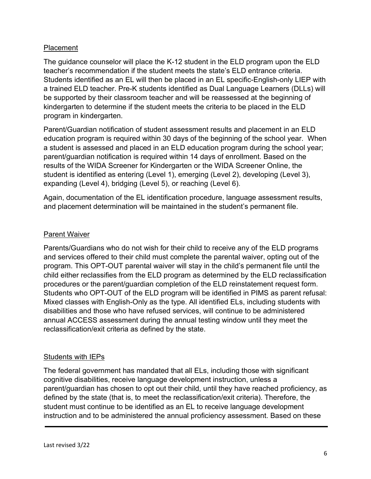# Placement

The guidance counselor will place the K-12 student in the ELD program upon the ELD teacher's recommendation if the student meets the state's ELD entrance criteria. Students identified as an EL will then be placed in an EL specific-English-only LIEP with a trained ELD teacher. Pre-K students identified as Dual Language Learners (DLLs) will be supported by their classroom teacher and will be reassessed at the beginning of kindergarten to determine if the student meets the criteria to be placed in the ELD program in kindergarten.

Parent/Guardian notification of student assessment results and placement in an ELD education program is required within 30 days of the beginning of the school year. When a student is assessed and placed in an ELD education program during the school year; parent/guardian notification is required within 14 days of enrollment. Based on the results of the WIDA Screener for Kindergarten or the WIDA Screener Online, the student is identified as entering (Level 1), emerging (Level 2), developing (Level 3), expanding (Level 4), bridging (Level 5), or reaching (Level 6).

Again, documentation of the EL identification procedure, language assessment results, and placement determination will be maintained in the student's permanent file.

#### Parent Waiver

Parents/Guardians who do not wish for their child to receive any of the ELD programs and services offered to their child must complete the parental waiver, opting out of the program. This OPT-OUT parental waiver will stay in the child's permanent file until the child either reclassifies from the ELD program as determined by the ELD reclassification procedures or the parent/guardian completion of the ELD reinstatement request form. Students who OPT-OUT of the ELD program will be identified in PIMS as parent refusal: Mixed classes with English-Only as the type. All identified ELs, including students with disabilities and those who have refused services, will continue to be administered annual ACCESS assessment during the annual testing window until they meet the reclassification/exit criteria as defined by the state.

# Students with IEPs

The federal government has mandated that all ELs, including those with significant cognitive disabilities, receive language development instruction, unless a parent/guardian has chosen to opt out their child, until they have reached proficiency, as defined by the state (that is, to meet the reclassification/exit criteria). Therefore, the student must continue to be identified as an EL to receive language development instruction and to be administered the annual proficiency assessment. Based on these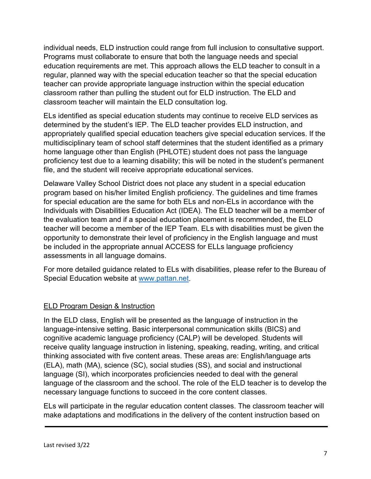individual needs, ELD instruction could range from full inclusion to consultative support. Programs must collaborate to ensure that both the language needs and special education requirements are met. This approach allows the ELD teacher to consult in a regular, planned way with the special education teacher so that the special education teacher can provide appropriate language instruction within the special education classroom rather than pulling the student out for ELD instruction. The ELD and classroom teacher will maintain the ELD consultation log.

ELs identified as special education students may continue to receive ELD services as determined by the student's IEP. The ELD teacher provides ELD instruction, and appropriately qualified special education teachers give special education services. If the multidisciplinary team of school staff determines that the student identified as a primary home language other than English (PHLOTE) student does not pass the language proficiency test due to a learning disability; this will be noted in the student's permanent file, and the student will receive appropriate educational services.

Delaware Valley School District does not place any student in a special education program based on his/her limited English proficiency. The guidelines and time frames for special education are the same for both ELs and non-ELs in accordance with the Individuals with Disabilities Education Act (IDEA). The ELD teacher will be a member of the evaluation team and if a special education placement is recommended, the ELD teacher will become a member of the IEP Team. ELs with disabilities must be given the opportunity to demonstrate their level of proficiency in the English language and must be included in the appropriate annual ACCESS for ELLs language proficiency assessments in all language domains.

For more detailed guidance related to ELs with disabilities, please refer to the Bureau of Special Education website at [www.pattan.net.](http://www.pattan.net/)

# ELD Program Design & Instruction

In the ELD class, English will be presented as the language of instruction in the language-intensive setting. Basic interpersonal communication skills (BICS) and cognitive academic language proficiency (CALP) will be developed. Students will receive quality language instruction in listening, speaking, reading, writing, and critical thinking associated with five content areas. These areas are: English/language arts (ELA), math (MA), science (SC), social studies (SS), and social and instructional language (SI), which incorporates proficiencies needed to deal with the general language of the classroom and the school. The role of the ELD teacher is to develop the necessary language functions to succeed in the core content classes.

ELs will participate in the regular education content classes. The classroom teacher will make adaptations and modifications in the delivery of the content instruction based on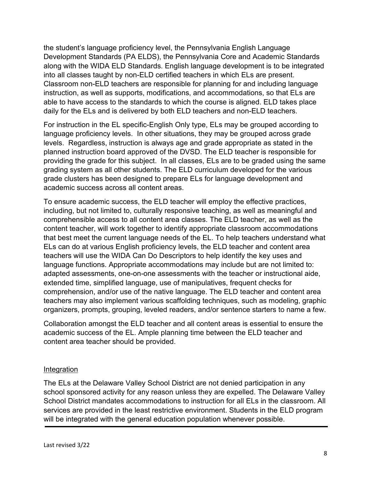the student's language proficiency level, the Pennsylvania English Language Development Standards (PA ELDS), the Pennsylvania Core and Academic Standards along with the WIDA ELD Standards. English language development is to be integrated into all classes taught by non-ELD certified teachers in which ELs are present. Classroom non-ELD teachers are responsible for planning for and including language instruction, as well as supports, modifications, and accommodations, so that ELs are able to have access to the standards to which the course is aligned. ELD takes place daily for the ELs and is delivered by both ELD teachers and non-ELD teachers.

For instruction in the EL specific-English Only type, ELs may be grouped according to language proficiency levels. In other situations, they may be grouped across grade levels. Regardless, instruction is always age and grade appropriate as stated in the planned instruction board approved of the DVSD. The ELD teacher is responsible for providing the grade for this subject. In all classes, ELs are to be graded using the same grading system as all other students. The ELD curriculum developed for the various grade clusters has been designed to prepare ELs for language development and academic success across all content areas.

To ensure academic success, the ELD teacher will employ the effective practices, including, but not limited to, culturally responsive teaching, as well as meaningful and comprehensible access to all content area classes. The ELD teacher, as well as the content teacher, will work together to identify appropriate classroom accommodations that best meet the current language needs of the EL. To help teachers understand what ELs can do at various English proficiency levels, the ELD teacher and content area teachers will use the WIDA Can Do Descriptors to help identify the key uses and language functions. Appropriate accommodations may include but are not limited to: adapted assessments, one-on-one assessments with the teacher or instructional aide, extended time, simplified language, use of manipulatives, frequent checks for comprehension, and/or use of the native language. The ELD teacher and content area teachers may also implement various scaffolding techniques, such as modeling, graphic organizers, prompts, grouping, leveled readers, and/or sentence starters to name a few.

Collaboration amongst the ELD teacher and all content areas is essential to ensure the academic success of the EL. Ample planning time between the ELD teacher and content area teacher should be provided.

#### Integration

The ELs at the Delaware Valley School District are not denied participation in any school sponsored activity for any reason unless they are expelled. The Delaware Valley School District mandates accommodations to instruction for all ELs in the classroom. All services are provided in the least restrictive environment. Students in the ELD program will be integrated with the general education population whenever possible.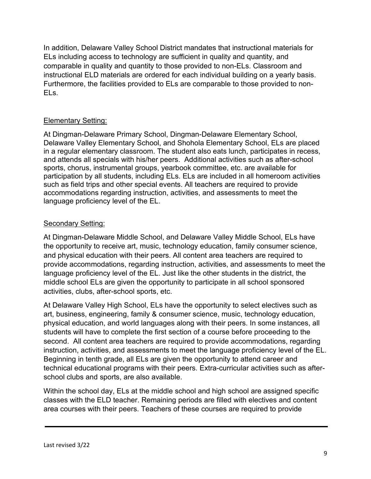In addition, Delaware Valley School District mandates that instructional materials for ELs including access to technology are sufficient in quality and quantity, and comparable in quality and quantity to those provided to non-ELs. Classroom and instructional ELD materials are ordered for each individual building on a yearly basis. Furthermore, the facilities provided to ELs are comparable to those provided to non-ELs.

# Elementary Setting:

At Dingman-Delaware Primary School, Dingman-Delaware Elementary School, Delaware Valley Elementary School, and Shohola Elementary School, ELs are placed in a regular elementary classroom. The student also eats lunch, participates in recess, and attends all specials with his/her peers. Additional activities such as after-school sports, chorus, instrumental groups, yearbook committee, etc. are available for participation by all students, including ELs. ELs are included in all homeroom activities such as field trips and other special events. All teachers are required to provide accommodations regarding instruction, activities, and assessments to meet the language proficiency level of the EL.

#### Secondary Setting:

At Dingman-Delaware Middle School, and Delaware Valley Middle School, ELs have the opportunity to receive art, music, technology education, family consumer science, and physical education with their peers. All content area teachers are required to provide accommodations, regarding instruction, activities, and assessments to meet the language proficiency level of the EL. Just like the other students in the district, the middle school ELs are given the opportunity to participate in all school sponsored activities, clubs, after-school sports, etc.

At Delaware Valley High School, ELs have the opportunity to select electives such as art, business, engineering, family & consumer science, music, technology education, physical education, and world languages along with their peers. In some instances, all students will have to complete the first section of a course before proceeding to the second. All content area teachers are required to provide accommodations, regarding instruction, activities, and assessments to meet the language proficiency level of the EL. Beginning in tenth grade, all ELs are given the opportunity to attend career and technical educational programs with their peers. Extra-curricular activities such as afterschool clubs and sports, are also available.

Within the school day, ELs at the middle school and high school are assigned specific classes with the ELD teacher. Remaining periods are filled with electives and content area courses with their peers. Teachers of these courses are required to provide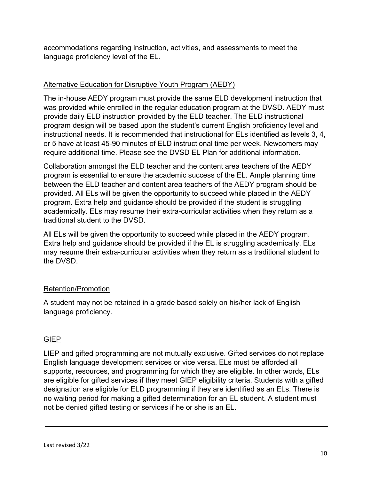accommodations regarding instruction, activities, and assessments to meet the language proficiency level of the EL.

# Alternative Education for Disruptive Youth Program (AEDY)

The in-house AEDY program must provide the same ELD development instruction that was provided while enrolled in the regular education program at the DVSD. AEDY must provide daily ELD instruction provided by the ELD teacher. The ELD instructional program design will be based upon the student's current English proficiency level and instructional needs. It is recommended that instructional for ELs identified as levels 3, 4, or 5 have at least 45-90 minutes of ELD instructional time per week. Newcomers may require additional time. Please see the DVSD EL Plan for additional information.

Collaboration amongst the ELD teacher and the content area teachers of the AEDY program is essential to ensure the academic success of the EL. Ample planning time between the ELD teacher and content area teachers of the AEDY program should be provided. All ELs will be given the opportunity to succeed while placed in the AEDY program. Extra help and guidance should be provided if the student is struggling academically. ELs may resume their extra-curricular activities when they return as a traditional student to the DVSD.

All ELs will be given the opportunity to succeed while placed in the AEDY program. Extra help and guidance should be provided if the EL is struggling academically. ELs may resume their extra-curricular activities when they return as a traditional student to the DVSD.

# Retention/Promotion

A student may not be retained in a grade based solely on his/her lack of English language proficiency.

# GIEP

LIEP and gifted programming are not mutually exclusive. Gifted services do not replace English language development services or vice versa. ELs must be afforded all supports, resources, and programming for which they are eligible. In other words, ELs are eligible for gifted services if they meet GIEP eligibility criteria. Students with a gifted designation are eligible for ELD programming if they are identified as an ELs. There is no waiting period for making a gifted determination for an EL student. A student must not be denied gifted testing or services if he or she is an EL.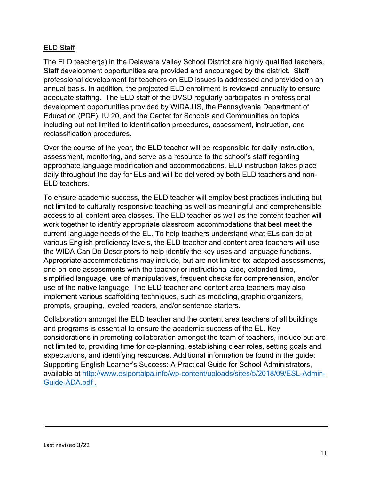# ELD Staff

The ELD teacher(s) in the Delaware Valley School District are highly qualified teachers. Staff development opportunities are provided and encouraged by the district. Staff professional development for teachers on ELD issues is addressed and provided on an annual basis. In addition, the projected ELD enrollment is reviewed annually to ensure adequate staffing. The ELD staff of the DVSD regularly participates in professional development opportunities provided by WIDA.US, the Pennsylvania Department of Education (PDE), IU 20, and the Center for Schools and Communities on topics including but not limited to identification procedures, assessment, instruction, and reclassification procedures.

Over the course of the year, the ELD teacher will be responsible for daily instruction, assessment, monitoring, and serve as a resource to the school's staff regarding appropriate language modification and accommodations. ELD instruction takes place daily throughout the day for ELs and will be delivered by both ELD teachers and non-ELD teachers.

To ensure academic success, the ELD teacher will employ best practices including but not limited to culturally responsive teaching as well as meaningful and comprehensible access to all content area classes. The ELD teacher as well as the content teacher will work together to identify appropriate classroom accommodations that best meet the current language needs of the EL. To help teachers understand what ELs can do at various English proficiency levels, the ELD teacher and content area teachers will use the WIDA Can Do Descriptors to help identify the key uses and language functions. Appropriate accommodations may include, but are not limited to: adapted assessments, one-on-one assessments with the teacher or instructional aide, extended time, simplified language, use of manipulatives, frequent checks for comprehension, and/or use of the native language. The ELD teacher and content area teachers may also implement various scaffolding techniques, such as modeling, graphic organizers, prompts, grouping, leveled readers, and/or sentence starters.

Collaboration amongst the ELD teacher and the content area teachers of all buildings and programs is essential to ensure the academic success of the EL. Key considerations in promoting collaboration amongst the team of teachers, include but are not limited to, providing time for co-planning, establishing clear roles, setting goals and expectations, and identifying resources. Additional information be found in the guide: Supporting English Learner's Success: A Practical Guide for School Administrators, available at [http://www.eslportalpa.info/wp-content/uploads/sites/5/2018/09/ESL-Admin-](http://www.eslportalpa.info/wp-content/uploads/sites/5/2018/09/ESL-Admin-Guide-ADA.pdf)[Guide-ADA.pdf](http://www.eslportalpa.info/wp-content/uploads/sites/5/2018/09/ESL-Admin-Guide-ADA.pdf) .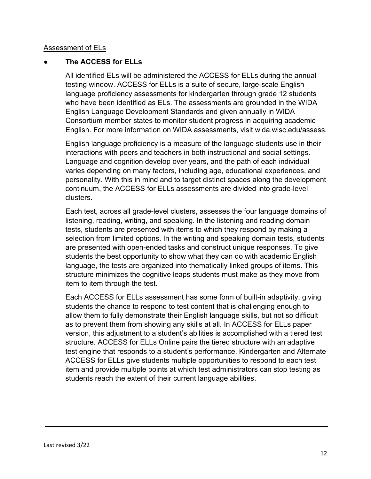#### Assessment of ELs

#### ● **The ACCESS for ELLs**

All identified ELs will be administered the ACCESS for ELLs during the annual testing window. ACCESS for ELLs is a suite of secure, large-scale English language proficiency assessments for kindergarten through grade 12 students who have been identified as ELs. The assessments are grounded in the WIDA English Language Development Standards and given annually in WIDA Consortium member states to monitor student progress in acquiring academic English. For more information on WIDA assessments, visit wida.wisc.edu/assess.

English language proficiency is a measure of the language students use in their interactions with peers and teachers in both instructional and social settings. Language and cognition develop over years, and the path of each individual varies depending on many factors, including age, educational experiences, and personality. With this in mind and to target distinct spaces along the development continuum, the ACCESS for ELLs assessments are divided into grade-level clusters.

Each test, across all grade-level clusters, assesses the four language domains of listening, reading, writing, and speaking. In the listening and reading domain tests, students are presented with items to which they respond by making a selection from limited options. In the writing and speaking domain tests, students are presented with open-ended tasks and construct unique responses. To give students the best opportunity to show what they can do with academic English language, the tests are organized into thematically linked groups of items. This structure minimizes the cognitive leaps students must make as they move from item to item through the test.

Each ACCESS for ELLs assessment has some form of built-in adaptivity, giving students the chance to respond to test content that is challenging enough to allow them to fully demonstrate their English language skills, but not so difficult as to prevent them from showing any skills at all. In ACCESS for ELLs paper version, this adjustment to a student's abilities is accomplished with a tiered test structure. ACCESS for ELLs Online pairs the tiered structure with an adaptive test engine that responds to a student's performance. Kindergarten and Alternate ACCESS for ELLs give students multiple opportunities to respond to each test item and provide multiple points at which test administrators can stop testing as students reach the extent of their current language abilities.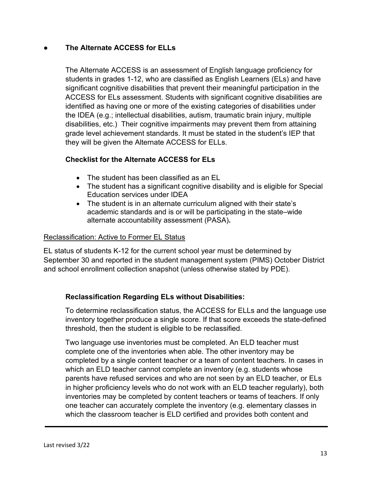# ● **The Alternate ACCESS for ELLs**

The Alternate ACCESS is an assessment of English language proficiency for students in grades 1-12, who are classified as English Learners (ELs) and have significant cognitive disabilities that prevent their meaningful participation in the ACCESS for ELs assessment. Students with significant cognitive disabilities are identified as having one or more of the existing categories of disabilities under the IDEA (e.g.; intellectual disabilities, autism, traumatic brain injury, multiple disabilities, etc.) Their cognitive impairments may prevent them from attaining grade level achievement standards. It must be stated in the student's IEP that they will be given the Alternate ACCESS for ELLs.

# **Checklist for the Alternate ACCESS for ELs**

- The student has been classified as an EL
- The student has a significant cognitive disability and is eligible for Special Education services under IDEA
- The student is in an alternate curriculum aligned with their state's academic standards and is or will be participating in the state–wide alternate accountability assessment (PASA)**.**

# Reclassification: Active to Former EL Status

EL status of students K-12 for the current school year must be determined by September 30 and reported in the student management system (PIMS) October District and school enrollment collection snapshot (unless otherwise stated by PDE).

# **Reclassification Regarding ELs without Disabilities:**

To determine reclassification status, the ACCESS for ELLs and the language use inventory together produce a single score. If that score exceeds the state-defined threshold, then the student is eligible to be reclassified.

Two language use inventories must be completed. An ELD teacher must complete one of the inventories when able. The other inventory may be completed by a single content teacher or a team of content teachers. In cases in which an ELD teacher cannot complete an inventory (e.g. students whose parents have refused services and who are not seen by an ELD teacher, or ELs in higher proficiency levels who do not work with an ELD teacher regularly), both inventories may be completed by content teachers or teams of teachers. If only one teacher can accurately complete the inventory (e.g. elementary classes in which the classroom teacher is ELD certified and provides both content and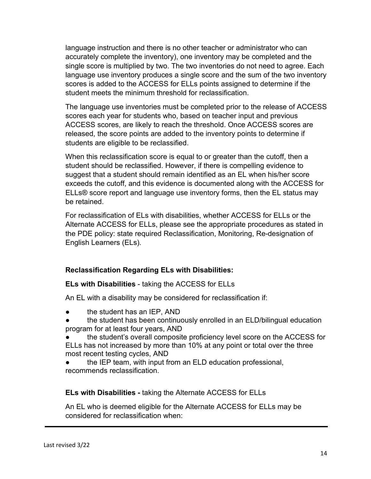language instruction and there is no other teacher or administrator who can accurately complete the inventory), one inventory may be completed and the single score is multiplied by two. The two inventories do not need to agree. Each language use inventory produces a single score and the sum of the two inventory scores is added to the ACCESS for ELLs points assigned to determine if the student meets the minimum threshold for reclassification.

The language use inventories must be completed prior to the release of ACCESS scores each year for students who, based on teacher input and previous ACCESS scores, are likely to reach the threshold. Once ACCESS scores are released, the score points are added to the inventory points to determine if students are eligible to be reclassified.

When this reclassification score is equal to or greater than the cutoff, then a student should be reclassified. However, if there is compelling evidence to suggest that a student should remain identified as an EL when his/her score exceeds the cutoff, and this evidence is documented along with the ACCESS for ELLs® score report and language use inventory forms, then the EL status may be retained.

For reclassification of ELs with disabilities, whether ACCESS for ELLs or the Alternate ACCESS for ELLs, please see the appropriate procedures as stated in the PDE policy: state required Reclassification, Monitoring, Re-designation of English Learners (ELs).

# **Reclassification Regarding ELs with Disabilities:**

# **ELs with Disabilities** - taking the ACCESS for ELLs

An EL with a disability may be considered for reclassification if:

- the student has an IEP, AND
- the student has been continuously enrolled in an ELD/bilingual education program for at least four years, AND
- the student's overall composite proficiency level score on the ACCESS for ELLs has not increased by more than 10% at any point or total over the three most recent testing cycles, AND
- the IEP team, with input from an ELD education professional, recommends reclassification.

# **ELs with Disabilities -** taking the Alternate ACCESS for ELLs

An EL who is deemed eligible for the Alternate ACCESS for ELLs may be considered for reclassification when: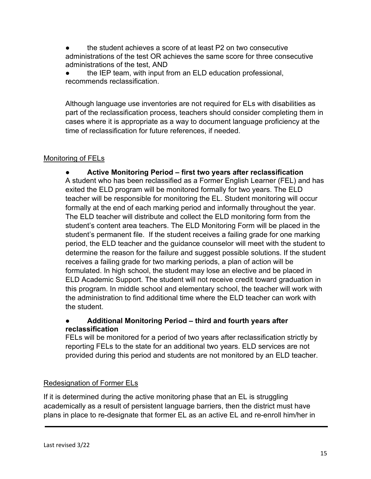the student achieves a score of at least P2 on two consecutive administrations of the test OR achieves the same score for three consecutive administrations of the test, AND

the IEP team, with input from an ELD education professional, recommends reclassification.

Although language use inventories are not required for ELs with disabilities as part of the reclassification process, teachers should consider completing them in cases where it is appropriate as a way to document language proficiency at the time of reclassification for future references, if needed.

# Monitoring of FELs

● **Active Monitoring Period – first two years after reclassification** A student who has been reclassified as a Former English Learner (FEL) and has exited the ELD program will be monitored formally for two years. The ELD teacher will be responsible for monitoring the EL. Student monitoring will occur formally at the end of each marking period and informally throughout the year. The ELD teacher will distribute and collect the ELD monitoring form from the student's content area teachers. The ELD Monitoring Form will be placed in the student's permanent file. If the student receives a failing grade for one marking period, the ELD teacher and the guidance counselor will meet with the student to determine the reason for the failure and suggest possible solutions. If the student receives a failing grade for two marking periods, a plan of action will be formulated. In high school, the student may lose an elective and be placed in ELD Academic Support. The student will not receive credit toward graduation in this program. In middle school and elementary school, the teacher will work with the administration to find additional time where the ELD teacher can work with the student.

# ● **Additional Monitoring Period – third and fourth years after reclassification**

FELs will be monitored for a period of two years after reclassification strictly by reporting FELs to the state for an additional two years. ELD services are not provided during this period and students are not monitored by an ELD teacher.

# Redesignation of Former ELs

If it is determined during the active monitoring phase that an EL is struggling academically as a result of persistent language barriers, then the district must have plans in place to re-designate that former EL as an active EL and re-enroll him/her in